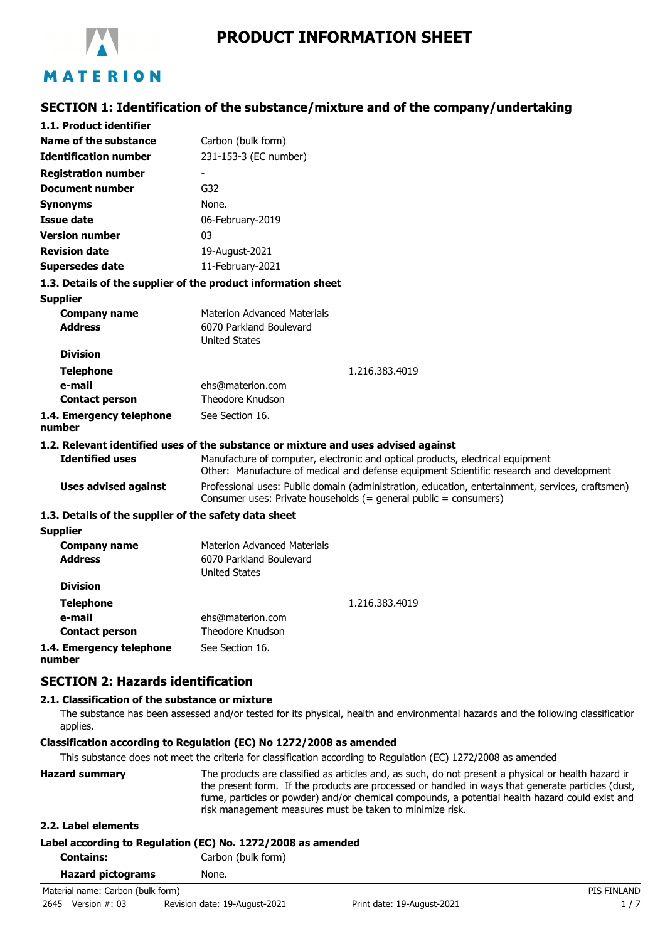

# **SECTION 1: Identification of the substance/mixture and of the company/undertaking**

| 1.1. Product identifier                               |                                                                                                                                                                           |  |  |
|-------------------------------------------------------|---------------------------------------------------------------------------------------------------------------------------------------------------------------------------|--|--|
| Name of the substance                                 | Carbon (bulk form)                                                                                                                                                        |  |  |
| <b>Identification number</b>                          | 231-153-3 (EC number)                                                                                                                                                     |  |  |
| <b>Registration number</b>                            |                                                                                                                                                                           |  |  |
| <b>Document number</b>                                | G <sub>32</sub>                                                                                                                                                           |  |  |
| <b>Synonyms</b>                                       | None.                                                                                                                                                                     |  |  |
| <b>Issue date</b>                                     | 06-February-2019                                                                                                                                                          |  |  |
| <b>Version number</b>                                 | 03                                                                                                                                                                        |  |  |
| <b>Revision date</b>                                  | 19-August-2021                                                                                                                                                            |  |  |
| <b>Supersedes date</b>                                | 11-February-2021                                                                                                                                                          |  |  |
|                                                       | 1.3. Details of the supplier of the product information sheet                                                                                                             |  |  |
| <b>Supplier</b>                                       |                                                                                                                                                                           |  |  |
| <b>Company name</b>                                   | <b>Materion Advanced Materials</b>                                                                                                                                        |  |  |
| <b>Address</b>                                        | 6070 Parkland Boulevard                                                                                                                                                   |  |  |
|                                                       | <b>United States</b>                                                                                                                                                      |  |  |
| <b>Division</b>                                       |                                                                                                                                                                           |  |  |
| <b>Telephone</b>                                      | 1.216.383.4019                                                                                                                                                            |  |  |
| e-mail                                                | ehs@materion.com                                                                                                                                                          |  |  |
| <b>Contact person</b>                                 | Theodore Knudson                                                                                                                                                          |  |  |
| 1.4. Emergency telephone<br>number                    | See Section 16.                                                                                                                                                           |  |  |
|                                                       | 1.2. Relevant identified uses of the substance or mixture and uses advised against                                                                                        |  |  |
| <b>Identified uses</b>                                | Manufacture of computer, electronic and optical products, electrical equipment<br>Other: Manufacture of medical and defense equipment Scientific research and development |  |  |
| <b>Uses advised against</b>                           | Professional uses: Public domain (administration, education, entertainment, services, craftsmen)<br>Consumer uses: Private households (= general public = consumers)      |  |  |
| 1.3. Details of the supplier of the safety data sheet |                                                                                                                                                                           |  |  |
| <b>Supplier</b>                                       |                                                                                                                                                                           |  |  |
| <b>Company name</b>                                   | <b>Materion Advanced Materials</b>                                                                                                                                        |  |  |
| <b>Address</b>                                        | 6070 Parkland Boulevard                                                                                                                                                   |  |  |
|                                                       | <b>United States</b>                                                                                                                                                      |  |  |
| <b>Division</b>                                       |                                                                                                                                                                           |  |  |
| <b>Telephone</b>                                      | 1.216.383.4019                                                                                                                                                            |  |  |
| e-mail                                                | ehs@materion.com                                                                                                                                                          |  |  |
| <b>Contact person</b>                                 | Theodore Knudson                                                                                                                                                          |  |  |
| 1.4. Emergency telephone                              | See Section 16.                                                                                                                                                           |  |  |

**1.4. Emergency telephone number**

## **SECTION 2: Hazards identification**

### **2.1. Classification of the substance or mixture**

The substance has been assessed and/or tested for its physical, health and environmental hazards and the following classification applies.

### **Classification according to Regulation (EC) No 1272/2008 as amended**

This substance does not meet the criteria for classification according to Regulation (EC) 1272/2008 as amended.

| <b>Hazard summary</b> | The products are classified as articles and, as such, do not present a physical or health hazard ir<br>the present form. If the products are processed or handled in ways that generate particles (dust,<br>fume, particles or powder) and/or chemical compounds, a potential health hazard could exist and<br>risk management measures must be taken to minimize risk. |
|-----------------------|-------------------------------------------------------------------------------------------------------------------------------------------------------------------------------------------------------------------------------------------------------------------------------------------------------------------------------------------------------------------------|
| 2.2. Label elements   |                                                                                                                                                                                                                                                                                                                                                                         |

| Label according to Regulation (EC) No. 1272/2008 as amended |                    |  |
|-------------------------------------------------------------|--------------------|--|
| <b>Contains:</b>                                            | Carbon (bulk form) |  |
| <b>Hazard pictograms</b>                                    | None.              |  |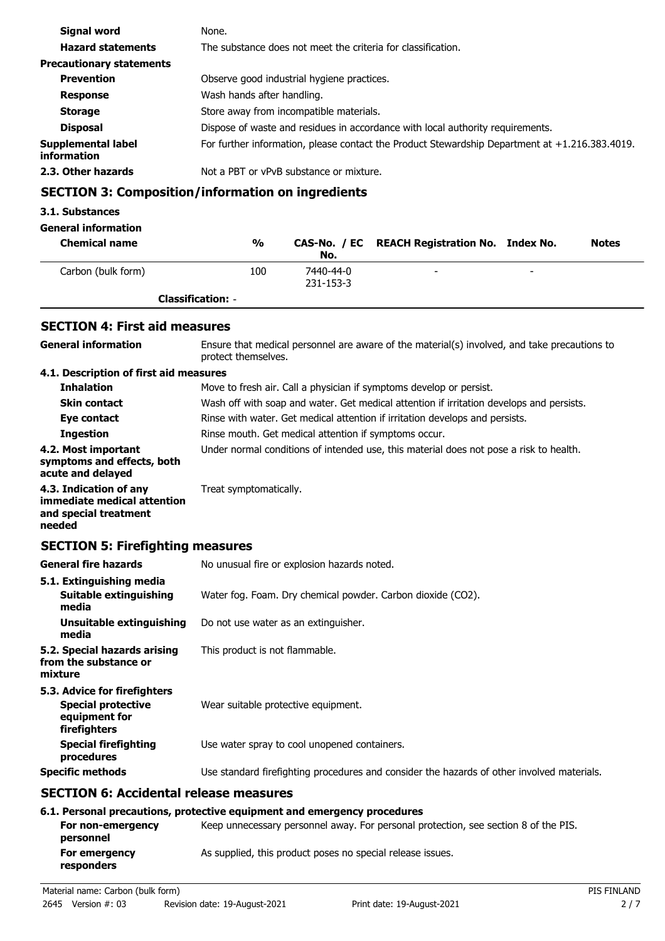| Signal word                       | None.                                                                                          |  |
|-----------------------------------|------------------------------------------------------------------------------------------------|--|
| <b>Hazard statements</b>          | The substance does not meet the criteria for classification.                                   |  |
| <b>Precautionary statements</b>   |                                                                                                |  |
| <b>Prevention</b>                 | Observe good industrial hygiene practices.                                                     |  |
| <b>Response</b>                   | Wash hands after handling.                                                                     |  |
| <b>Storage</b>                    | Store away from incompatible materials.                                                        |  |
| <b>Disposal</b>                   | Dispose of waste and residues in accordance with local authority requirements.                 |  |
| Supplemental label<br>information | For further information, please contact the Product Stewardship Department at +1.216.383.4019. |  |
| 2.3. Other hazards                | Not a PBT or vPvB substance or mixture.                                                        |  |

## **SECTION 3: Composition/information on ingredients**

### **3.1. Substances**

## **General information**

| <b>Chemical name</b> | %                        | No.                    | CAS-No. / EC REACH Registration No. Index No. |                          | <b>Notes</b> |
|----------------------|--------------------------|------------------------|-----------------------------------------------|--------------------------|--------------|
| Carbon (bulk form)   | 100                      | 7440-44-0<br>231-153-3 | -                                             | $\overline{\phantom{0}}$ |              |
|                      | <b>Classification: -</b> |                        |                                               |                          |              |

## **SECTION 4: First aid measures**

| <b>General information</b>                                                                 | Ensure that medical personnel are aware of the material(s) involved, and take precautions to<br>protect themselves. |  |  |
|--------------------------------------------------------------------------------------------|---------------------------------------------------------------------------------------------------------------------|--|--|
| 4.1. Description of first aid measures                                                     |                                                                                                                     |  |  |
| <b>Inhalation</b>                                                                          | Move to fresh air. Call a physician if symptoms develop or persist.                                                 |  |  |
| <b>Skin contact</b>                                                                        | Wash off with soap and water. Get medical attention if irritation develops and persists.                            |  |  |
| Eye contact                                                                                | Rinse with water. Get medical attention if irritation develops and persists.                                        |  |  |
| <b>Ingestion</b>                                                                           | Rinse mouth. Get medical attention if symptoms occur.                                                               |  |  |
| 4.2. Most important<br>symptoms and effects, both<br>acute and delayed                     | Under normal conditions of intended use, this material does not pose a risk to health.                              |  |  |
| 4.3. Indication of any<br>immediate medical attention<br>and special treatment<br>needed   | Treat symptomatically.                                                                                              |  |  |
| <b>SECTION 5: Firefighting measures</b>                                                    |                                                                                                                     |  |  |
| <b>General fire hazards</b>                                                                | No unusual fire or explosion hazards noted.                                                                         |  |  |
| 5.1. Extinguishing media<br>Suitable extinguishing<br>media                                | Water fog. Foam. Dry chemical powder. Carbon dioxide (CO2).                                                         |  |  |
| <b>Unsuitable extinguishing</b><br>media                                                   | Do not use water as an extinguisher.                                                                                |  |  |
| 5.2. Special hazards arising<br>from the substance or<br>mixture                           | This product is not flammable.                                                                                      |  |  |
| 5.3. Advice for firefighters<br><b>Special protective</b><br>equipment for<br>firefighters | Wear suitable protective equipment.                                                                                 |  |  |
| <b>Special firefighting</b><br>procedures                                                  | Use water spray to cool unopened containers.                                                                        |  |  |
| <b>Specific methods</b>                                                                    | Use standard firefighting procedures and consider the hazards of other involved materials.                          |  |  |
| <b>SECTION 6: Accidental release measures</b>                                              |                                                                                                                     |  |  |
|                                                                                            | 6.1. Personal precautions, protective equipment and emergency procedures                                            |  |  |
| For non-emergency<br>personnel                                                             | Keep unnecessary personnel away. For personal protection, see section 8 of the PIS.                                 |  |  |
| For emergency<br>responders                                                                | As supplied, this product poses no special release issues.                                                          |  |  |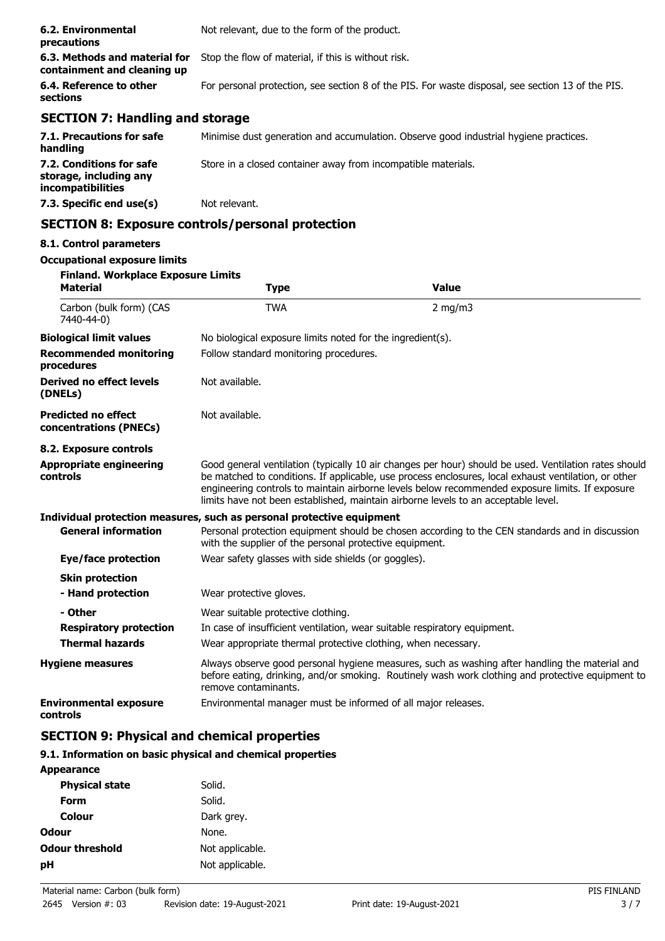| 6.2. Environmental<br>precautions                            | Not relevant, due to the form of the product.                                                     |  |
|--------------------------------------------------------------|---------------------------------------------------------------------------------------------------|--|
| 6.3. Methods and material for<br>containment and cleaning up | Stop the flow of material, if this is without risk.                                               |  |
| 6.4. Reference to other<br>sections                          | For personal protection, see section 8 of the PIS. For waste disposal, see section 13 of the PIS. |  |
| <b>SECTION 7: Handling and storage</b>                       |                                                                                                   |  |
| 7.1. Precautions for safe<br>handling                        | Minimise dust generation and accumulation. Observe good industrial hygiene practices.             |  |

**7.2. Conditions for safe** Store in a closed container away from incompatible materials. **storage, including any incompatibilities**

**7.3. Specific end use(s)** Not relevant.

## **SECTION 8: Exposure controls/personal protection**

## **8.1. Control parameters**

#### **Occupational exposure limits**

| <b>Finland. Workplace Exposure Limits</b>            |                                                                           |                                                                                                                                                                                                                                                                                                                                                                                                        |  |  |
|------------------------------------------------------|---------------------------------------------------------------------------|--------------------------------------------------------------------------------------------------------------------------------------------------------------------------------------------------------------------------------------------------------------------------------------------------------------------------------------------------------------------------------------------------------|--|--|
| <b>Material</b>                                      | <b>Type</b>                                                               | <b>Value</b>                                                                                                                                                                                                                                                                                                                                                                                           |  |  |
| Carbon (bulk form) (CAS<br>7440-44-0)                | <b>TWA</b>                                                                | $2$ mg/m $3$                                                                                                                                                                                                                                                                                                                                                                                           |  |  |
| <b>Biological limit values</b>                       | No biological exposure limits noted for the ingredient(s).                |                                                                                                                                                                                                                                                                                                                                                                                                        |  |  |
| <b>Recommended monitoring</b><br>procedures          |                                                                           | Follow standard monitoring procedures.                                                                                                                                                                                                                                                                                                                                                                 |  |  |
| Derived no effect levels<br>(DNELs)                  | Not available.                                                            |                                                                                                                                                                                                                                                                                                                                                                                                        |  |  |
| <b>Predicted no effect</b><br>concentrations (PNECs) | Not available.                                                            |                                                                                                                                                                                                                                                                                                                                                                                                        |  |  |
| 8.2. Exposure controls                               |                                                                           |                                                                                                                                                                                                                                                                                                                                                                                                        |  |  |
| <b>Appropriate engineering</b><br>controls           |                                                                           | Good general ventilation (typically 10 air changes per hour) should be used. Ventilation rates should<br>be matched to conditions. If applicable, use process enclosures, local exhaust ventilation, or other<br>engineering controls to maintain airborne levels below recommended exposure limits. If exposure<br>limits have not been established, maintain airborne levels to an acceptable level. |  |  |
|                                                      | Individual protection measures, such as personal protective equipment     |                                                                                                                                                                                                                                                                                                                                                                                                        |  |  |
| <b>General information</b>                           | with the supplier of the personal protective equipment.                   | Personal protection equipment should be chosen according to the CEN standards and in discussion                                                                                                                                                                                                                                                                                                        |  |  |
| Eye/face protection                                  | Wear safety glasses with side shields (or goggles).                       |                                                                                                                                                                                                                                                                                                                                                                                                        |  |  |
| <b>Skin protection</b>                               |                                                                           |                                                                                                                                                                                                                                                                                                                                                                                                        |  |  |
| - Hand protection                                    | Wear protective gloves.                                                   |                                                                                                                                                                                                                                                                                                                                                                                                        |  |  |
| - Other                                              | Wear suitable protective clothing.                                        |                                                                                                                                                                                                                                                                                                                                                                                                        |  |  |
| <b>Respiratory protection</b>                        | In case of insufficient ventilation, wear suitable respiratory equipment. |                                                                                                                                                                                                                                                                                                                                                                                                        |  |  |
| <b>Thermal hazards</b>                               | Wear appropriate thermal protective clothing, when necessary.             |                                                                                                                                                                                                                                                                                                                                                                                                        |  |  |
| <b>Hygiene measures</b>                              | remove contaminants.                                                      | Always observe good personal hygiene measures, such as washing after handling the material and<br>before eating, drinking, and/or smoking. Routinely wash work clothing and protective equipment to                                                                                                                                                                                                    |  |  |
| <b>Environmental exposure</b><br>controls            | Environmental manager must be informed of all major releases.             |                                                                                                                                                                                                                                                                                                                                                                                                        |  |  |

## **SECTION 9: Physical and chemical properties**

### **9.1. Information on basic physical and chemical properties**

| <b>Appearance</b>      |                 |
|------------------------|-----------------|
| <b>Physical state</b>  | Solid.          |
| Form                   | Solid.          |
| Colour                 | Dark grey.      |
| Odour                  | None.           |
| <b>Odour threshold</b> | Not applicable. |
| рH                     | Not applicable. |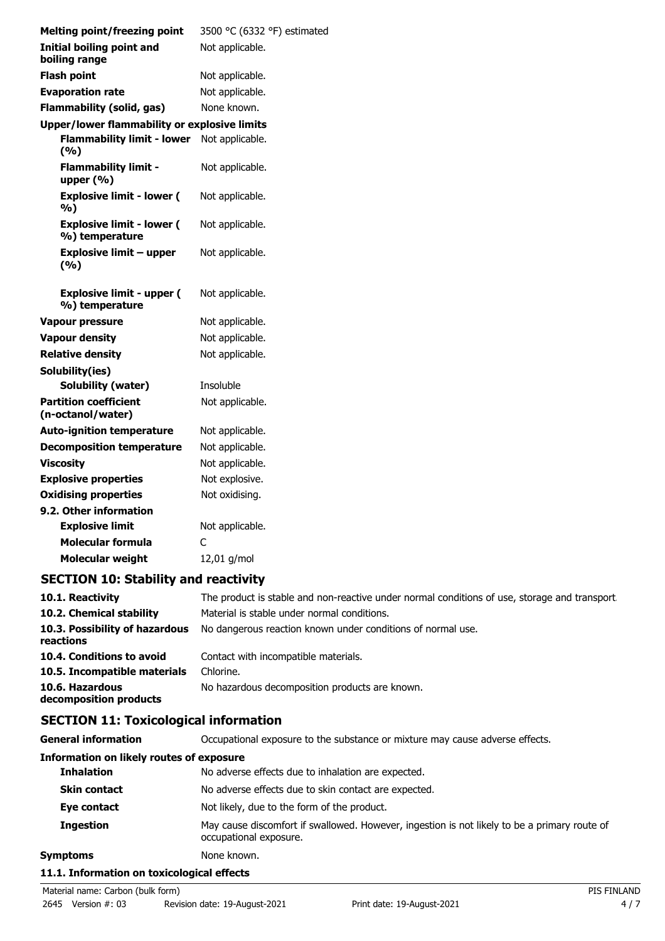| <b>Melting point/freezing point</b>                | 3500 °C (6332 °F) estimated |
|----------------------------------------------------|-----------------------------|
| <b>Initial boiling point and</b><br>boiling range  | Not applicable.             |
| <b>Flash point</b>                                 | Not applicable.             |
| <b>Evaporation rate</b>                            | Not applicable.             |
| <b>Flammability (solid, gas)</b>                   | None known.                 |
| Upper/lower flammability or explosive limits       |                             |
| <b>Flammability limit - lower</b><br>(%)           | Not applicable.             |
| <b>Flammability limit -</b><br>upper $(% )$        | Not applicable.             |
| <b>Explosive limit - lower (</b><br>%)             | Not applicable.             |
| <b>Explosive limit - lower (</b><br>%) temperature | Not applicable.             |
| Explosive limit – upper<br>(%)                     | Not applicable.             |
| <b>Explosive limit - upper (</b><br>%) temperature | Not applicable.             |
| <b>Vapour pressure</b>                             | Not applicable.             |
| <b>Vapour density</b>                              | Not applicable.             |
| <b>Relative density</b>                            | Not applicable.             |
| Solubility(ies)                                    |                             |
| <b>Solubility (water)</b>                          | Insoluble                   |
| <b>Partition coefficient</b><br>(n-octanol/water)  | Not applicable.             |
| <b>Auto-ignition temperature</b>                   | Not applicable.             |
| <b>Decomposition temperature</b>                   | Not applicable.             |
| <b>Viscosity</b>                                   | Not applicable.             |
| <b>Explosive properties</b>                        | Not explosive.              |
| <b>Oxidising properties</b>                        | Not oxidising.              |
| 9.2. Other information                             |                             |
| <b>Explosive limit</b>                             | Not applicable.             |
| Molecular formula                                  | C                           |
| <b>Molecular weight</b>                            | 12,01 g/mol                 |

## **SECTION 10: Stability and reactivity**

| 10.1. Reactivity                            | The product is stable and non-reactive under normal conditions of use, storage and transport |
|---------------------------------------------|----------------------------------------------------------------------------------------------|
| 10.2. Chemical stability                    | Material is stable under normal conditions.                                                  |
| 10.3. Possibility of hazardous<br>reactions | No dangerous reaction known under conditions of normal use.                                  |
| 10.4. Conditions to avoid                   | Contact with incompatible materials.                                                         |
| 10.5. Incompatible materials                | Chlorine.                                                                                    |
| 10.6. Hazardous<br>decomposition products   | No hazardous decomposition products are known.                                               |

## **SECTION 11: Toxicological information**

| <b>General information</b>                      | Occupational exposure to the substance or mixture may cause adverse effects.                                           |  |
|-------------------------------------------------|------------------------------------------------------------------------------------------------------------------------|--|
| <b>Information on likely routes of exposure</b> |                                                                                                                        |  |
| <b>Inhalation</b>                               | No adverse effects due to inhalation are expected.                                                                     |  |
| <b>Skin contact</b>                             | No adverse effects due to skin contact are expected.                                                                   |  |
| Eye contact                                     | Not likely, due to the form of the product.                                                                            |  |
| <b>Ingestion</b>                                | May cause discomfort if swallowed. However, ingestion is not likely to be a primary route of<br>occupational exposure. |  |
| <b>Symptoms</b><br>None known.                  |                                                                                                                        |  |
| 11.1. Information on toxicological effects      |                                                                                                                        |  |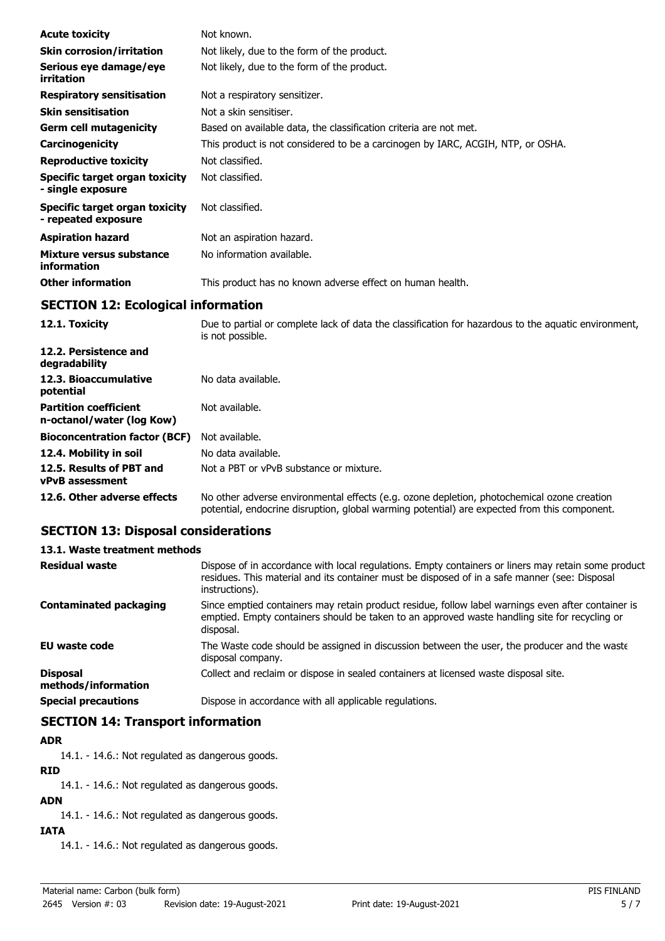| <b>Acute toxicity</b>                                        | Not known.                                                                                                               |
|--------------------------------------------------------------|--------------------------------------------------------------------------------------------------------------------------|
| <b>Skin corrosion/irritation</b>                             | Not likely, due to the form of the product.                                                                              |
| Serious eye damage/eye<br>irritation                         | Not likely, due to the form of the product.                                                                              |
| <b>Respiratory sensitisation</b>                             | Not a respiratory sensitizer.                                                                                            |
| <b>Skin sensitisation</b>                                    | Not a skin sensitiser.                                                                                                   |
| <b>Germ cell mutagenicity</b>                                | Based on available data, the classification criteria are not met.                                                        |
| Carcinogenicity                                              | This product is not considered to be a carcinogen by IARC, ACGIH, NTP, or OSHA.                                          |
| <b>Reproductive toxicity</b>                                 | Not classified.                                                                                                          |
| <b>Specific target organ toxicity</b><br>- single exposure   | Not classified.                                                                                                          |
| <b>Specific target organ toxicity</b><br>- repeated exposure | Not classified.                                                                                                          |
| <b>Aspiration hazard</b>                                     | Not an aspiration hazard.                                                                                                |
| Mixture versus substance<br>information                      | No information available.                                                                                                |
| <b>Other information</b>                                     | This product has no known adverse effect on human health.                                                                |
| <b>SECTION 12: Ecological information</b>                    |                                                                                                                          |
| 12.1. Toxicity                                               | Due to partial or complete lack of data the classification for hazardous to the aquatic environment,<br>is not possible. |
| 12.2. Persistence and<br>degradability                       |                                                                                                                          |
| 12.3. Bioaccumulative<br>potential                           | No data available.                                                                                                       |
| <b>Partition coefficient</b><br>n-octanol/water (log Kow)    | Not available.                                                                                                           |
| <b>Bioconcentration factor (BCF)</b>                         | Not available.                                                                                                           |
| 12.4. Mobility in soil                                       | No data available.                                                                                                       |

**12.5. Results of PBT and** Not a PBT or vPvB substance or mixture. **vPvB assessment**

**12.6. Other adverse effects** No other adverse environmental effects (e.g. ozone depletion, photochemical ozone creation potential, endocrine disruption, global warming potential) are expected from this component.

## **SECTION 13: Disposal considerations**

#### **13.1. Waste treatment methods**

| <b>Residual waste</b>                  | Dispose of in accordance with local regulations. Empty containers or liners may retain some product<br>residues. This material and its container must be disposed of in a safe manner (see: Disposal<br>instructions). |
|----------------------------------------|------------------------------------------------------------------------------------------------------------------------------------------------------------------------------------------------------------------------|
| <b>Contaminated packaging</b>          | Since emptied containers may retain product residue, follow label warnings even after container is<br>emptied. Empty containers should be taken to an approved waste handling site for recycling or<br>disposal.       |
| <b>EU waste code</b>                   | The Waste code should be assigned in discussion between the user, the producer and the waste<br>disposal company.                                                                                                      |
| <b>Disposal</b><br>methods/information | Collect and reclaim or dispose in sealed containers at licensed waste disposal site.                                                                                                                                   |
| <b>Special precautions</b>             | Dispose in accordance with all applicable regulations.                                                                                                                                                                 |

## **SECTION 14: Transport information**

## **ADR**

14.1. - 14.6.: Not regulated as dangerous goods.

### **RID**

14.1. - 14.6.: Not regulated as dangerous goods.

## **ADN**

14.1. - 14.6.: Not regulated as dangerous goods.

## **IATA**

14.1. - 14.6.: Not regulated as dangerous goods.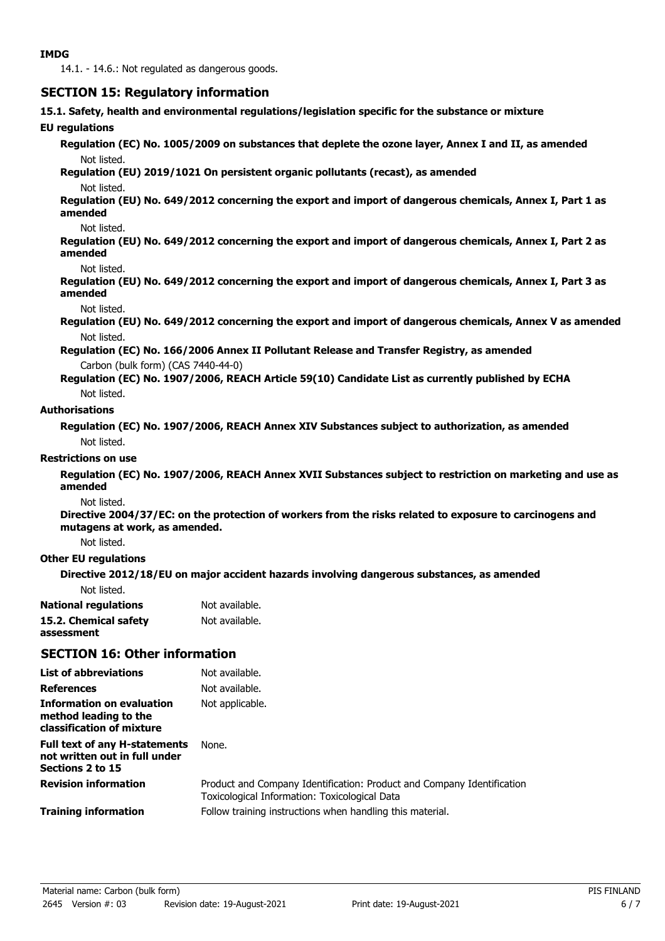14.1. - 14.6.: Not regulated as dangerous goods.

## **SECTION 15: Regulatory information**

**15.1. Safety, health and environmental regulations/legislation specific for the substance or mixture**

#### **EU regulations**

**Regulation (EC) No. 1005/2009 on substances that deplete the ozone layer, Annex I and II, as amended** Not listed.

#### **Regulation (EU) 2019/1021 On persistent organic pollutants (recast), as amended**

#### Not listed.

**Regulation (EU) No. 649/2012 concerning the export and import of dangerous chemicals, Annex I, Part 1 as amended**

#### Not listed.

**Regulation (EU) No. 649/2012 concerning the export and import of dangerous chemicals, Annex I, Part 2 as amended**

#### Not listed.

**Regulation (EU) No. 649/2012 concerning the export and import of dangerous chemicals, Annex I, Part 3 as amended**

#### Not listed.

**Regulation (EU) No. 649/2012 concerning the export and import of dangerous chemicals, Annex V as amended** Not listed.

**Regulation (EC) No. 166/2006 Annex II Pollutant Release and Transfer Registry, as amended** Carbon (bulk form) (CAS 7440-44-0)

**Regulation (EC) No. 1907/2006, REACH Article 59(10) Candidate List as currently published by ECHA** Not listed.

#### **Authorisations**

**Regulation (EC) No. 1907/2006, REACH Annex XIV Substances subject to authorization, as amended** Not listed.

#### **Restrictions on use**

**Regulation (EC) No. 1907/2006, REACH Annex XVII Substances subject to restriction on marketing and use as amended**

#### Not listed.

**Directive 2004/37/EC: on the protection of workers from the risks related to exposure to carcinogens and mutagens at work, as amended.**

Not listed.

### **Other EU regulations**

**Directive 2012/18/EU on major accident hazards involving dangerous substances, as amended**

| <b>National regulations</b> | Not available. |
|-----------------------------|----------------|
| 15.2. Chemical safety       | Not available. |
| assessment                  |                |

## **SECTION 16: Other information**

| <b>List of abbreviations</b>                                                              | Not available.                                                                                                          |
|-------------------------------------------------------------------------------------------|-------------------------------------------------------------------------------------------------------------------------|
| <b>References</b>                                                                         | Not available.                                                                                                          |
| <b>Information on evaluation</b><br>method leading to the<br>classification of mixture    | Not applicable.                                                                                                         |
| <b>Full text of any H-statements</b><br>not written out in full under<br>Sections 2 to 15 | None.                                                                                                                   |
| <b>Revision information</b>                                                               | Product and Company Identification: Product and Company Identification<br>Toxicological Information: Toxicological Data |
| <b>Training information</b>                                                               | Follow training instructions when handling this material.                                                               |